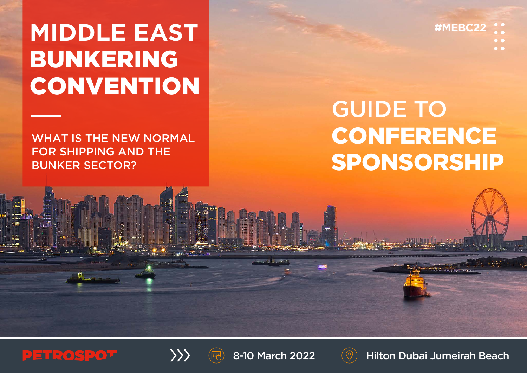# **MIDDLE EAST** BUNKERING **CONVENTION**

WHAT IS THE NEW NORMAL FOR SHIPPING AND THE BUNKER SECTOR?

GUIDE TO CONFERENCE SPONSORSHIP

**#MEBC22**









8-10 March 2022  $(\heartsuit)$  Hilton Dubai Jumeirah Beach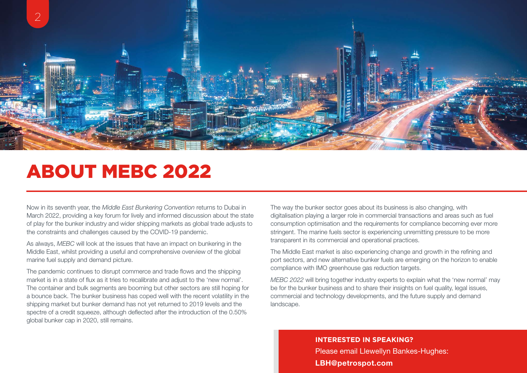

### ABOUT MEBC 2022

Now in its seventh year, the *Middle East Bunkering Convention* returns to Dubai in March 2022, providing a key forum for lively and informed discussion about the state of play for the bunker industry and wider shipping markets as global trade adjusts to the constraints and challenges caused by the COVID-19 pandemic.

As always, *MEBC* will look at the issues that have an impact on bunkering in the Middle East, whilst providing a useful and comprehensive overview of the global marine fuel supply and demand picture.

The pandemic continues to disrupt commerce and trade flows and the shipping market is in a state of flux as it tries to recalibrate and adjust to the 'new normal'. The container and bulk segments are booming but other sectors are still hoping for a bounce back. The bunker business has coped well with the recent volatility in the shipping market but bunker demand has not yet returned to 2019 levels and the spectre of a credit squeeze, although deflected after the introduction of the 0.50% global bunker cap in 2020, still remains.

The way the bunker sector goes about its business is also changing, with digitalisation playing a larger role in commercial transactions and areas such as fuel consumption optimisation and the requirements for compliance becoming ever more stringent. The marine fuels sector is experiencing unremitting pressure to be more transparent in its commercial and operational practices.

The Middle East market is also experiencing change and growth in the refining and port sectors, and new alternative bunker fuels are emerging on the horizon to enable compliance with IMO greenhouse gas reduction targets.

*MEBC 2022* will bring together industry experts to explain what the 'new normal' may be for the bunker business and to share their insights on fuel quality, legal issues, commercial and technology developments, and the future supply and demand landscape.

> **INTERESTED IN SPEAKING?** Please email Llewellyn Bankes-Hughes: [LBH@petrospot.com](mailto:LBH%40petrospot.com?subject=MEBC22%20Speaker%20ops)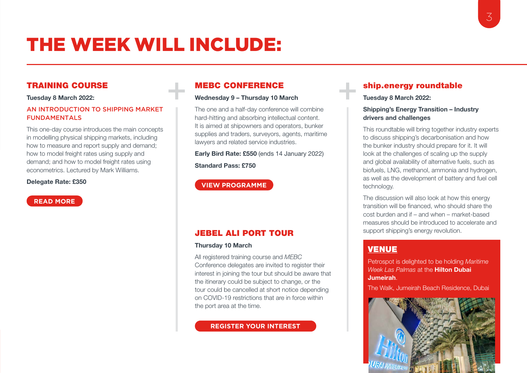### THE WEEK WILL INCLUDE:

#### TRAINING COURSE

#### Tuesday 8 March 2022:

#### AN INTRODUCTION TO SHIPPING MARKET FUNDAMENTALS

This one-day course introduces the main concepts in modelling physical shipping markets, including how to measure and report supply and demand; how to model freight rates using supply and demand; and how to model freight rates using econometrics. Lectured by Mark Williams.

#### Delegate Rate: £350

**[READ MORE](https://www.petrospot.com/events/mebc22-dubai/programme/mebc22-smf)**

#### MEBC CONFERENCE

#### Wednesday 9 – Thursday 10 March

The one and a half-day conference will combine hard-hitting and absorbing intellectual content. It is aimed at shipowners and operators, bunker supplies and traders, surveyors, agents, maritime lawyers and related service industries.

Early Bird Rate: £550 (ends 14 January 2022) Standard Pass: £750

#### **[VIEW PROGRAMME](https://www.petrospot.com/events/mebc22-dubai/programme/mebc22-programme)**

#### JEBEL ALI PORT TOUR

#### Thursday 10 March

All registered training course and *MEBC*  Conference delegates are invited to register their interest in joining the tour but should be aware that the itinerary could be subject to change, or the tour could be cancelled at short notice depending on COVID-19 restrictions that are in force within the port area at the time.

#### **[REGISTER YOUR INTEREST](mailto:info%40petrospot.com?subject=MEBC%20Jebel%20Ali%20Tour)**

#### ship.energy roundtable

Tuesday 8 March 2022:

#### Shipping's Energy Transition – Industry drivers and challenges

This roundtable will bring together industry experts to discuss shipping's decarbonisation and how the bunker industry should prepare for it. It will look at the challenges of scaling up the supply and global availability of alternative fuels, such as biofuels, LNG, methanol, ammonia and hydrogen, as well as the development of battery and fuel cell technology.

The discussion will also look at how this energy transition will be financed, who should share the cost burden and if – and when – market-based measures should be introduced to accelerate and support shipping's energy revolution.

### [VENUE](https://www.petrospot.com/events/mebc22-dubai/location)

Petrospot is delighted to be holding *Maritime Week Las Palmas* at the Hilton Dubai Jumeirah.

The Walk, Jumeirah Beach Residence, Dubai

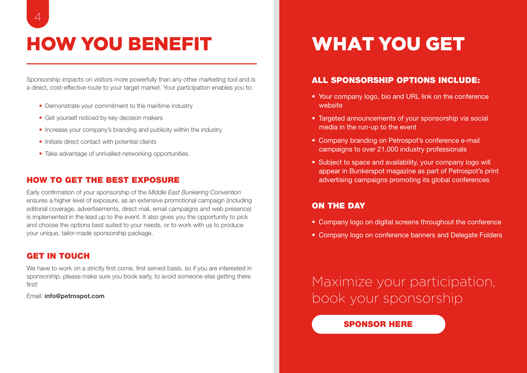## HOW YOU BENEFIT WHAT YOU GET

Sponsorship impacts on visitors more powerfully than any other marketing tool and is a direct, cost-effective route to your target market. Your participation enables you to:

- Demonstrate your commitment to the maritime industry
- Get yourself noticed by key decision makers
- Increase your company's branding and publicity within the industry
- Initiate direct contact with potential clients
- Take advantage of unrivalled networking opportunities.

#### HOW TO GET THE BEST EXPOSURE

Early confirmation of your sponsorship of the *Middle East Bunkering Convention*  ensures a higher level of exposure, as an extensive promotional campaign (including editorial coverage, advertisements, direct mail, email campaigns and web presence) is implemented in the lead up to the event. It also gives you the opportunity to pick and choose the options best suited to your needs, or to work with us to produce your unique, tailor-made sponsorship package.

#### GET IN TOUCH

We have to work on a strictly first come, first served basis, so if you are interested in sponsorship, please make sure you book early, to avoid someone else getting there first!

Email: info@petrospot.com

#### ALL SPONSORSHIP OPTIONS INCLUDE:

- Your company logo, bio and URL link on the conference website
- Targeted announcements of your sponsorship via social media in the run-up to the event
- Company branding on Petrospot's conference e-mail campaigns to over 21,000 industry professionals
- Subject to space and availability, your company logo will appear in Bunkerspot magazine as part of Petrospot's print advertising campaigns promoting its global conferences

#### ON THE DAY

- Company logo on digital screens throughout the conference
- Company logo on conference banners and Delegate Folders

Maximize your participation, book your sponsorship

#### [SPONSOR HERE](https://www.petrospot.com/events/mebc22-dubai/sponsorevent)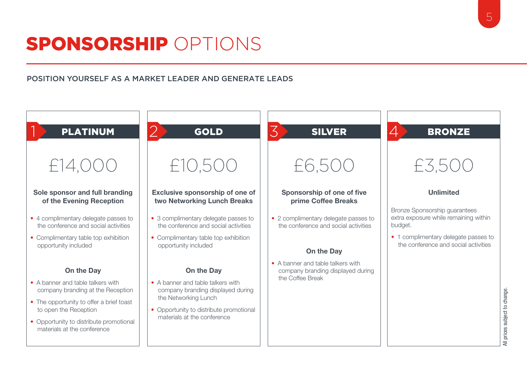## SPONSORSHIP OPTIONS

#### POSITION YOURSELF AS A MARKET LEADER AND GENERATE LEADS

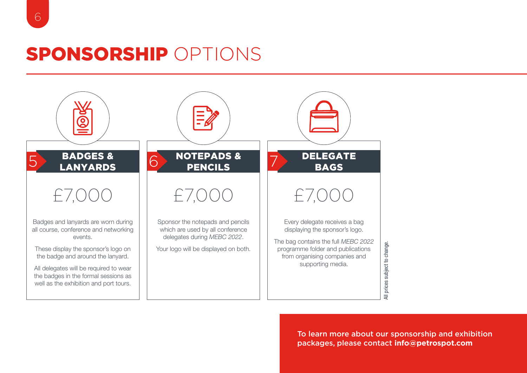### SPONSORSHIP OPTIONS



To learn more about our sponsorship and exhibition packages, please contact **[info@petrospot.com](mailto:info%40petrospot.com?subject=MEBC%20Sponsorship)**